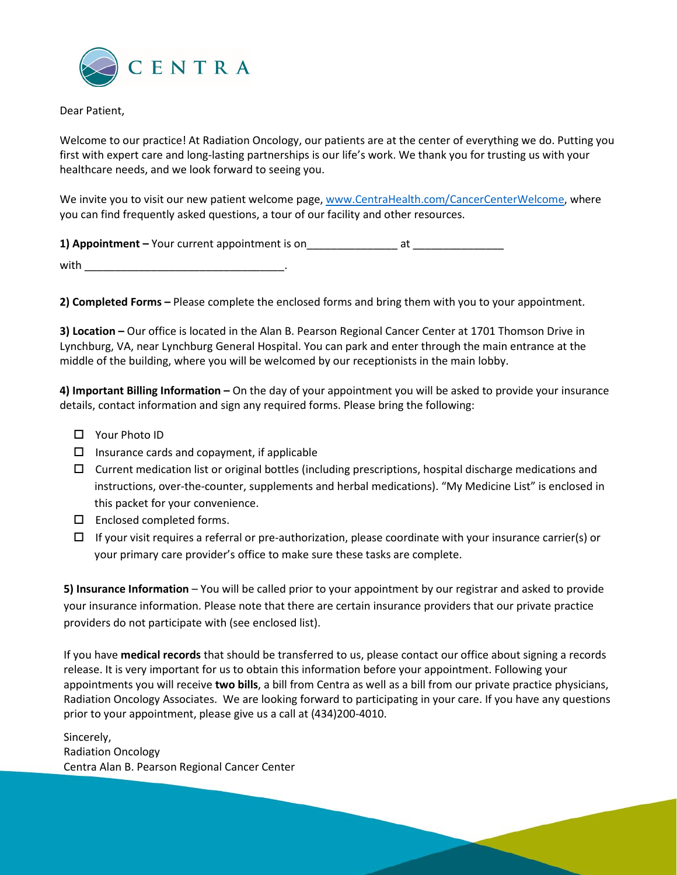

Dear Patient,

Welcome to our practice! At Radiation Oncology, our patients are at the center of everything we do. Putting you first with expert care and long-lasting partnerships is our life's work. We thank you for trusting us with your healthcare needs, and we look forward to seeing you.

We invite you to visit our new patient welcome page, [www.CentraHealth.com/CancerCenterWelcome,](http://www.centrahealth.com/CancerCenterWelcome) where you can find frequently asked questions, a tour of our facility and other resources.

**1) Appointment** – Your current appointment is on  $\qquad$  at

 $with$ 

**2) Completed Forms –** Please complete the enclosed forms and bring them with you to your appointment.

**3) Location –** Our office is located in the Alan B. Pearson Regional Cancer Center at 1701 Thomson Drive in Lynchburg, VA, near Lynchburg General Hospital. You can park and enter through the main entrance at the middle of the building, where you will be welcomed by our receptionists in the main lobby.

**4) Important Billing Information –** On the day of your appointment you will be asked to provide your insurance details, contact information and sign any required forms. Please bring the following:

- □ Your Photo ID
- $\square$  Insurance cards and copayment, if applicable
- $\Box$  Current medication list or original bottles (including prescriptions, hospital discharge medications and instructions, over-the-counter, supplements and herbal medications). "My Medicine List" is enclosed in this packet for your convenience.
- $\square$  Enclosed completed forms.
- $\Box$  If your visit requires a referral or pre-authorization, please coordinate with your insurance carrier(s) or your primary care provider's office to make sure these tasks are complete.

**5) Insurance Information** – You will be called prior to your appointment by our registrar and asked to provide your insurance information. Please note that there are certain insurance providers that our private practice providers do not participate with (see enclosed list).

If you have **medical records** that should be transferred to us, please contact our office about signing a records release. It is very important for us to obtain this information before your appointment. Following your appointments you will receive **two bills**, a bill from Centra as well as a bill from our private practice physicians, Radiation Oncology Associates. We are looking forward to participating in your care. If you have any questions prior to your appointment, please give us a call at (434)200-4010.

Sincerely, Radiation Oncology Centra Alan B. Pearson Regional Cancer Center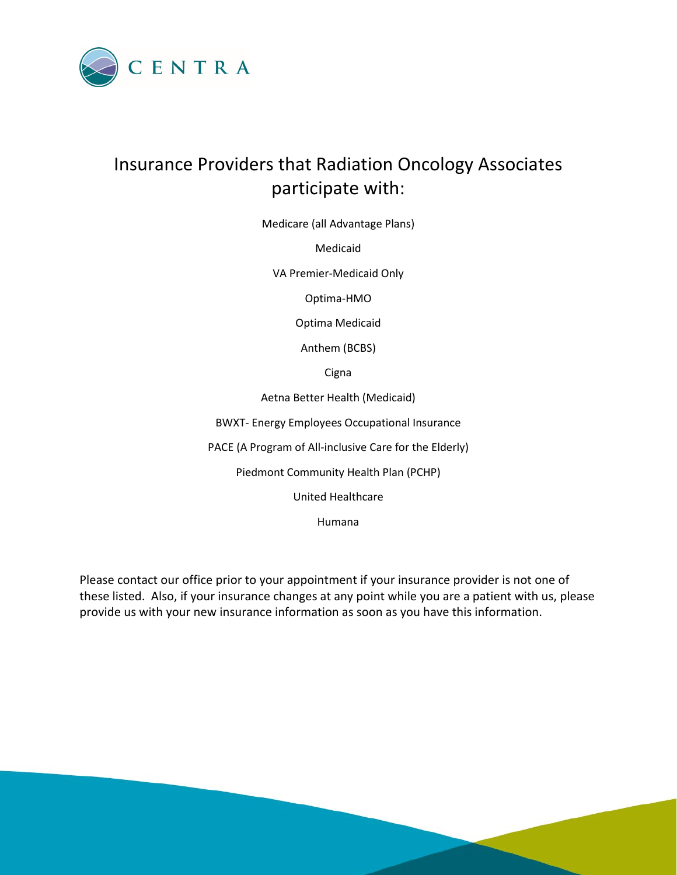

# Insurance Providers that Radiation Oncology Associates participate with:

Medicare (all Advantage Plans)

Medicaid

VA Premier-Medicaid Only

Optima-HMO

Optima Medicaid

Anthem (BCBS)

**Cigna** 

Aetna Better Health (Medicaid)

BWXT- Energy Employees Occupational Insurance

PACE (A Program of All-inclusive Care for the Elderly)

Piedmont Community Health Plan (PCHP)

United Healthcare

Humana

Please contact our office prior to your appointment if your insurance provider is not one of these listed. Also, if your insurance changes at any point while you are a patient with us, please provide us with your new insurance information as soon as you have this information.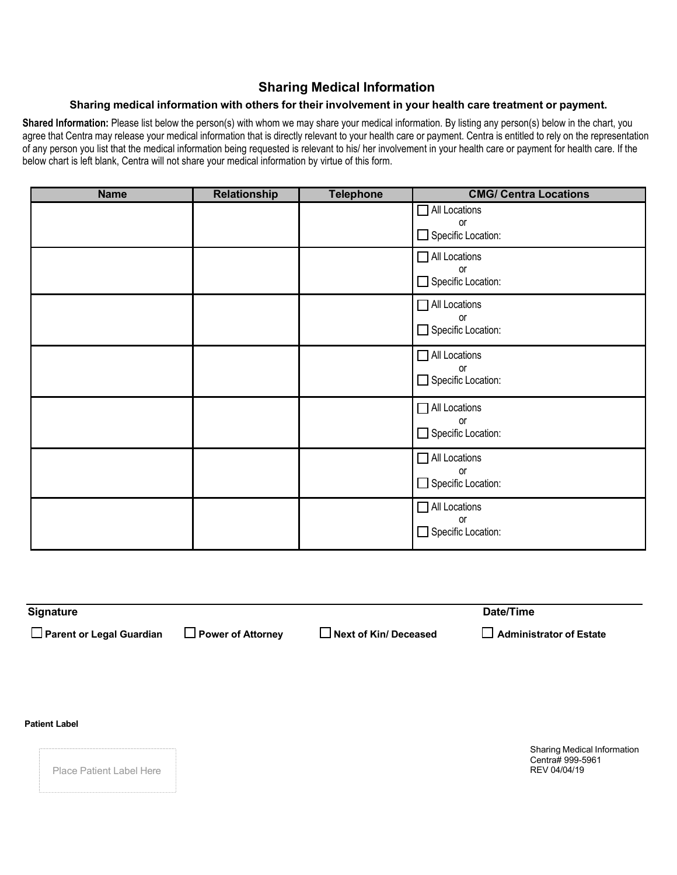### **Sharing Medical Information**

### **Sharing medical information with others for their involvement in your health care treatment or payment.**

Shared Information: Please list below the person(s) with whom we may share your medical information. By listing any person(s) below in the chart, you agree that Centra may release your medical information that is directly relevant to your health care or payment. Centra is entitled to rely on the representation of any person you list that the medical information being requested is relevant to his/ her involvement in your health care or payment for health care. If the below chart is left blank, Centra will not share your medical information by virtue of this form.

| <b>Name</b> | <b>Relationship</b> | <b>Telephone</b> | <b>CMG/ Centra Locations</b>                     |
|-------------|---------------------|------------------|--------------------------------------------------|
|             |                     |                  | All Locations<br>or<br>Specific Location:        |
|             |                     |                  | All Locations<br><b>or</b><br>Specific Location: |
|             |                     |                  | All Locations<br><b>or</b><br>Specific Location: |
|             |                     |                  | All Locations<br>or<br>Specific Location:        |
|             |                     |                  | All Locations<br>or<br>Specific Location:        |
|             |                     |                  | All Locations<br>or<br>Specific Location:        |
|             |                     |                  | All Locations<br><b>or</b><br>Specific Location: |

| Signature                  |                          |                              | Date/Time                      |
|----------------------------|--------------------------|------------------------------|--------------------------------|
| □ Parent or Legal Guardian | $\Box$ Power of Attorney | $\Box$ Next of Kin/ Deceased | $\Box$ Administrator of Estate |

**Patient Label**

Place Patient Label Here

Sharing Medical Information Centra# 999-5961<br>REV 04/04/19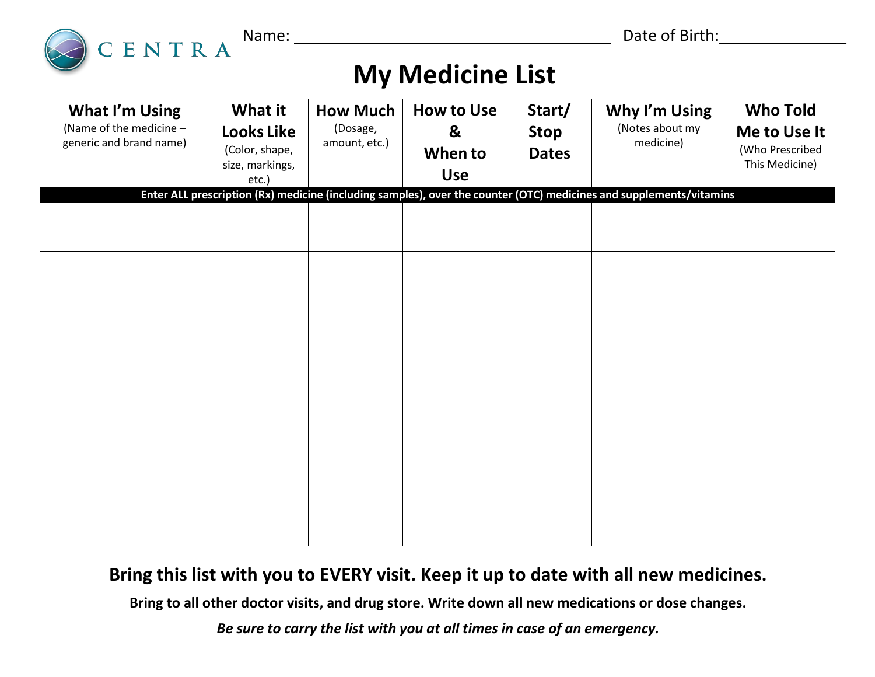

Name: Date of Birth: \_

# **My Medicine List**

| What I'm Using<br>(Name of the medicine -<br>generic and brand name) | What it<br><b>Looks Like</b><br>(Color, shape,<br>size, markings,<br>etc.) | <b>How Much</b><br>(Dosage,<br>amount, etc.) | <b>How to Use</b><br>&<br>When to<br><b>Use</b> | Start/<br><b>Stop</b><br><b>Dates</b> | Why I'm Using<br>(Notes about my<br>medicine)                                                                       | <b>Who Told</b><br>Me to Use It<br>(Who Prescribed<br>This Medicine) |
|----------------------------------------------------------------------|----------------------------------------------------------------------------|----------------------------------------------|-------------------------------------------------|---------------------------------------|---------------------------------------------------------------------------------------------------------------------|----------------------------------------------------------------------|
|                                                                      |                                                                            |                                              |                                                 |                                       | Enter ALL prescription (Rx) medicine (including samples), over the counter (OTC) medicines and supplements/vitamins |                                                                      |
|                                                                      |                                                                            |                                              |                                                 |                                       |                                                                                                                     |                                                                      |
|                                                                      |                                                                            |                                              |                                                 |                                       |                                                                                                                     |                                                                      |
|                                                                      |                                                                            |                                              |                                                 |                                       |                                                                                                                     |                                                                      |
|                                                                      |                                                                            |                                              |                                                 |                                       |                                                                                                                     |                                                                      |
|                                                                      |                                                                            |                                              |                                                 |                                       |                                                                                                                     |                                                                      |
|                                                                      |                                                                            |                                              |                                                 |                                       |                                                                                                                     |                                                                      |
|                                                                      |                                                                            |                                              |                                                 |                                       |                                                                                                                     |                                                                      |

# **Bring this list with you to EVERY visit. Keep it up to date with all new medicines.**

**Bring to all other doctor visits, and drug store. Write down all new medications or dose changes.**

*Be sure to carry the list with you at all times in case of an emergency.*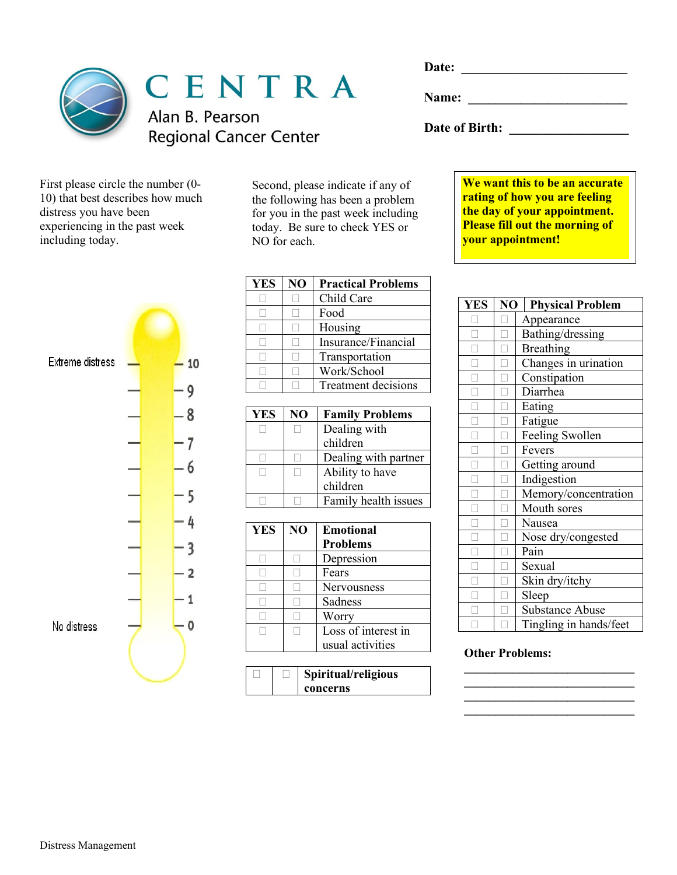

CENTRA

Alan B. Pearson **Regional Cancer Center** 

| First please circle the number (0- |
|------------------------------------|
| 10) that best describes how much   |
| distress you have been             |
| experiencing in the past week      |
| including today.                   |
|                                    |

Second, please indicate if any of the following has been a problem for you in the past week including today. Be sure to check YES or NO for each.

| Extreme distress | 10                      |
|------------------|-------------------------|
|                  | 9                       |
|                  | - 8                     |
|                  | 7                       |
|                  | 6                       |
|                  | 5                       |
|                  | 4                       |
|                  | 3                       |
|                  | $\overline{\mathbf{2}}$ |
|                  | 1                       |
| No distress      | 0                       |
|                  |                         |

| <b>YES</b> | NO | <b>Practical Problems</b> |
|------------|----|---------------------------|
|            |    | Child Care                |
|            |    | Food                      |
|            |    | Housing                   |
|            |    | Insurance/Financial       |
|            |    | Transportation            |
|            |    | Work/School               |
|            |    | Treatment decisions       |

| <b>YES</b> | N <sub>O</sub> | <b>Family Problems</b> |
|------------|----------------|------------------------|
|            |                | Dealing with           |
|            |                | children               |
|            |                | Dealing with partner   |
|            |                | Ability to have        |
|            |                | children               |
|            |                | Family health issues   |

| <b>YES</b> | NO | <b>Emotional</b><br><b>Problems</b> |
|------------|----|-------------------------------------|
|            |    | Depression                          |
|            |    | Fears                               |
|            |    | <b>Nervousness</b>                  |
|            |    | Sadness                             |
|            |    | Worry                               |
|            |    | Loss of interest in                 |
|            |    | usual activities                    |

|  | Spiritual/religious |
|--|---------------------|
|  | concerns            |

**Name: \_\_\_\_\_\_\_\_\_\_\_\_\_\_\_\_\_\_\_\_\_\_\_\_** 

**Date of Birth: \_\_\_\_\_\_\_\_\_\_\_\_\_\_\_\_\_\_** 

**We want this to be an accurate rating of how you are feeling the day of your appointment. Please fill out the morning of your appointment!** 

| <b>YES</b> | NO | <b>Physical Problem</b> |
|------------|----|-------------------------|
|            |    | Appearance              |
|            |    | Bathing/dressing        |
|            |    | <b>Breathing</b>        |
|            |    | Changes in urination    |
|            |    | Constipation            |
|            |    | Diarrhea                |
|            |    | Eating                  |
|            |    | Fatigue                 |
|            |    | Feeling Swollen         |
|            |    | Fevers                  |
|            |    | Getting around          |
|            |    | Indigestion             |
|            |    | Memory/concentration    |
|            |    | Mouth sores             |
|            |    | Nausea                  |
|            |    | Nose dry/congested      |
|            |    | Pain                    |
|            |    | Sexual                  |
|            |    | Skin dry/itchy          |
|            |    | Sleep                   |
|            |    | <b>Substance Abuse</b>  |
|            |    | Tingling in hands/feet  |

**\_\_\_\_\_\_\_\_\_\_\_\_\_\_\_\_\_\_\_\_\_\_\_\_\_\_\_\_ \_\_\_\_\_\_\_\_\_\_\_\_\_\_\_\_\_\_\_\_\_\_\_\_\_\_\_\_**

### **Other Problems:**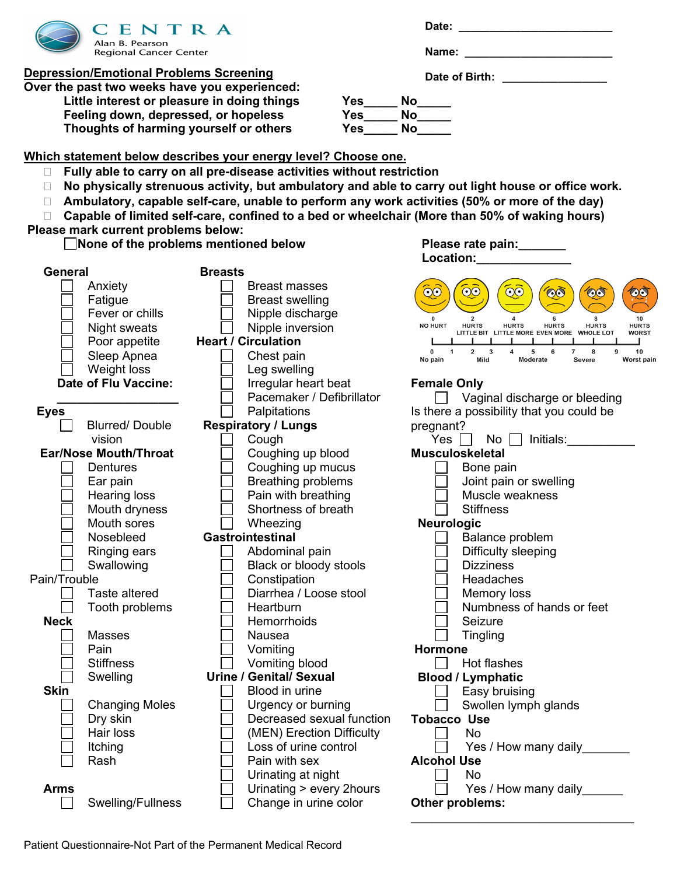

**Depression/Emotional Problems Screening**

**Over the past two weeks have you experienced:** Little interest or pleasure in doing things **Yes** No **Feeling down, depressed, or hopeless Yes\_\_\_\_\_ No\_\_\_\_\_ Thoughts of harming yourself or others Yes\_\_\_\_\_ No\_\_\_\_\_**

| Date: |  |  |  |  |  |
|-------|--|--|--|--|--|
|       |  |  |  |  |  |

**Name:**  $\blacksquare$ 

**Date of Birth: \_\_\_\_\_\_\_\_\_\_\_\_\_\_\_\_\_**

**Which statement below describes your energy level? Choose one.**

- **Fully able to carry on all pre-disease activities without restriction**
- **No physically strenuous activity, but ambulatory and able to carry out light house or office work.**
- **Ambulatory, capable self-care, unable to perform any work activities (50% or more of the day)**
- **Capable of limited self-care, confined to a bed or wheelchair (More than 50% of waking hours)**

### **Please mark current problems below:**

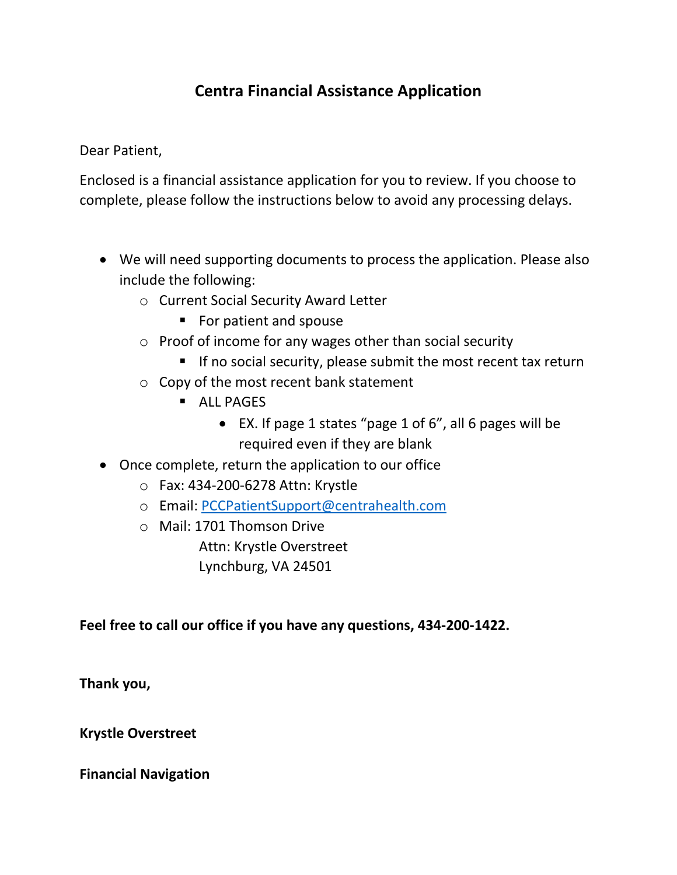# **Centra Financial Assistance Application**

Dear Patient,

Enclosed is a financial assistance application for you to review. If you choose to complete, please follow the instructions below to avoid any processing delays.

- We will need supporting documents to process the application. Please also include the following:
	- o Current Social Security Award Letter
		- **For patient and spouse**
	- o Proof of income for any wages other than social security
		- If no social security, please submit the most recent tax return
	- o Copy of the most recent bank statement
		- **ALL PAGES** 
			- EX. If page 1 states "page 1 of 6", all 6 pages will be required even if they are blank
- Once complete, return the application to our office
	- o Fax: 434-200-6278 Attn: Krystle
	- o Email: [PCCPatientSupport@centrahealth.com](mailto:PCCPatientSupport@centrahealth.com)
	- o Mail: 1701 Thomson Drive

Attn: Krystle Overstreet Lynchburg, VA 24501

### **Feel free to call our office if you have any questions, 434-200-1422.**

**Thank you,**

**Krystle Overstreet** 

**Financial Navigation**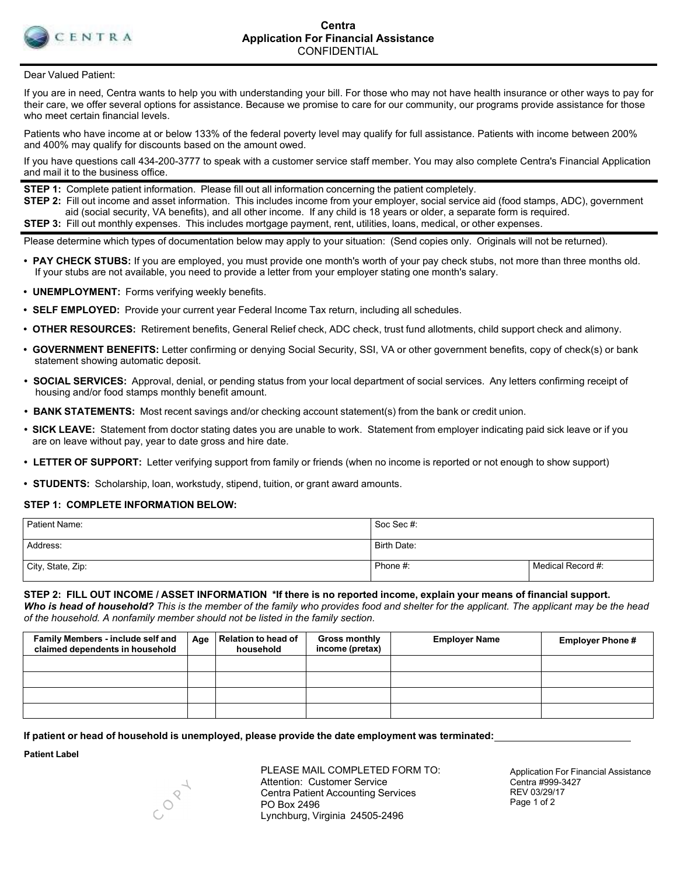

Dear Valued Patient:

If you are in need, Centra wants to help you with understanding your bill. For those who may not have health insurance or other ways to pay for their care, we offer several options for assistance. Because we promise to care for our community, our programs provide assistance for those who meet certain financial levels.

Patients who have income at or below 133% of the federal poverty level may qualify for full assistance. Patients with income between 200% and 400% may qualify for discounts based on the amount owed.

If you have questions call 434-200-3777 to speak with a customer service staff member. You may also complete Centra's Financial Application and mail it to the business office.

**STEP 1:** Complete patient information. Please fill out all information concerning the patient completely.

**STEP 2:** Fill out income and asset information. This includes income from your employer, social service aid (food stamps, ADC), government aid (social security, VA benefits), and all other income. If any child is 18 years or older, a separate form is required. **STEP 3:** Fill out monthly expenses. This includes mortgage payment, rent, utilities, loans, medical, or other expenses.

Please determine which types of documentation below may apply to your situation: (Send copies only. Originals will not be returned).

- **• PAY CHECK STUBS:** If you are employed, you must provide one month's worth of your pay check stubs, not more than three months old. If your stubs are not available, you need to provide a letter from your employer stating one month's salary.
- **• UNEMPLOYMENT:** Forms verifying weekly benefits.
- **• SELF EMPLOYED:** Provide your current year Federal Income Tax return, including all schedules.
- **• OTHER RESOURCES:** Retirement benefits, General Relief check, ADC check, trust fund allotments, child support check and alimony.
- **• GOVERNMENT BENEFITS:** Letter confirming or denying Social Security, SSI, VA or other government benefits, copy of check(s) or bank statement showing automatic deposit.
- **• SOCIAL SERVICES:** Approval, denial, or pending status from your local department of social services. Any letters confirming receipt of housing and/or food stamps monthly benefit amount.
- **• BANK STATEMENTS:** Most recent savings and/or checking account statement(s) from the bank or credit union.
- **• SICK LEAVE:** Statement from doctor stating dates you are unable to work. Statement from employer indicating paid sick leave or if you are on leave without pay, year to date gross and hire date.
- **• LETTER OF SUPPORT:** Letter verifying support from family or friends (when no income is reported or not enough to show support)
- **• STUDENTS:** Scholarship, loan, workstudy, stipend, tuition, or grant award amounts.

#### **STEP 1: COMPLETE INFORMATION BELOW:**

| Patient Name:     | Soc Sec #:  |                   |
|-------------------|-------------|-------------------|
| Address:          | Birth Date: |                   |
| City, State, Zip: | Phone #:    | Medical Record #: |

STEP 2: FILL OUT INCOME / ASSET INFORMATION \*If there is no reported income, explain your means of financial support. *Who is head of household? This is the member of the family who provides food and shelter for the applicant. The applicant may be the head of the household. A nonfamily member should not be listed in the family section.*

| Family Members - include self and<br>claimed dependents in household | Age   Relation to head of<br>household | <b>Gross monthly</b><br>income (pretax) | <b>Employer Name</b> | <b>Employer Phone#</b> |
|----------------------------------------------------------------------|----------------------------------------|-----------------------------------------|----------------------|------------------------|
|                                                                      |                                        |                                         |                      |                        |
|                                                                      |                                        |                                         |                      |                        |
|                                                                      |                                        |                                         |                      |                        |
|                                                                      |                                        |                                         |                      |                        |

**If patient or head of household is unemployed, please provide the date employment was terminated:**

**Patient Label**

CORL

PLEASE MAIL COMPLETED FORM TO: Attention: Customer Service Centra Patient Accounting Services PO Box 2496 Lynchburg, Virginia 24505-2496

Application For Financial Assistance Centra #999-3427 REV 03/29/17 Page 1 of 2